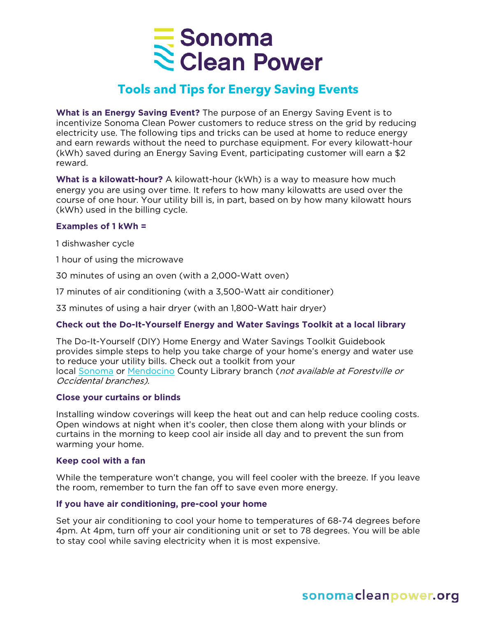

# **Tools and Tips for Energy Saving Events**

**What is an Energy Saving Event?** The purpose of an Energy Saving Event is to incentivize Sonoma Clean Power customers to reduce stress on the grid by reducing electricity use. The following tips and tricks can be used at home to reduce energy and earn rewards without the need to purchase equipment. For every kilowatt-hour (kWh) saved during an Energy Saving Event, participating customer will earn a \$2 reward.

**What is a kilowatt-hour?** A kilowatt-hour (kWh) is a way to measure how much energy you are using over time. It refers to how many kilowatts are used over the course of one hour. Your utility bill is, in part, based on by how many kilowatt hours (kWh) used in the billing cycle.

# **Examples of 1 kWh =**

1 dishwasher cycle

1 hour of using the microwave

30 minutes of using an oven (with a 2,000-Watt oven)

17 minutes of air conditioning (with a 3,500-Watt air conditioner)

33 minutes of using a hair dryer (with an 1,800-Watt hair dryer)

# **Check out the Do-It-Yourself Energy and Water Savings Toolkit at a local library**

The Do-It-Yourself (DIY) Home Energy and Water Savings Toolkit Guidebook provides simple steps to help you take charge of your home's energy and water use to reduce your utility bills. Check out a toolkit from your local [Sonoma](https://sonomalibrary.org/locations) or [Mendocino](https://www.mendolibrary.org/home) County Library branch (not available at Forestville or Occidental branches).

# **Close your curtains or blinds**

Installing window coverings will keep the heat out and can help reduce cooling costs. Open windows at night when it's cooler, then close them along with your blinds or curtains in the morning to keep cool air inside all day and to prevent the sun from warming your home.

# **Keep cool with a fan**

While the temperature won't change, you will feel cooler with the breeze. If you leave the room, remember to turn the fan off to save even more energy.

# **If you have air conditioning, pre-cool your home**

Set your air conditioning to cool your home to temperatures of 68-74 degrees before 4pm. At 4pm, turn off your air conditioning unit or set to 78 degrees. You will be able to stay cool while saving electricity when it is most expensive.